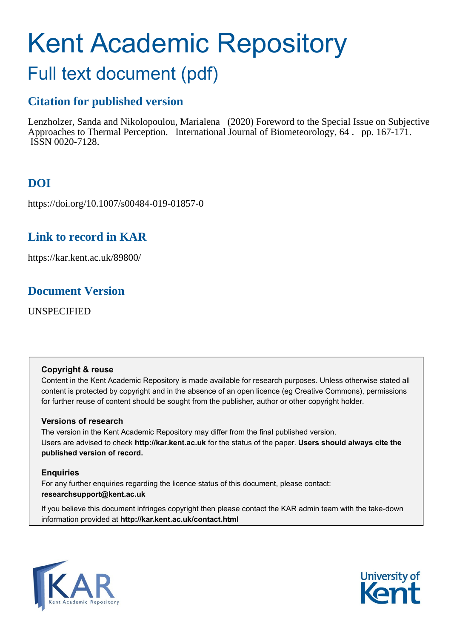# Kent Academic Repository

## Full text document (pdf)

## **Citation for published version**

Lenzholzer, Sanda and Nikolopoulou, Marialena (2020) Foreword to the Special Issue on Subjective Approaches to Thermal Perception. International Journal of Biometeorology, 64 . pp. 167-171. ISSN 0020-7128.

## **DOI**

https://doi.org/10.1007/s00484-019-01857-0

## **Link to record in KAR**

https://kar.kent.ac.uk/89800/

## **Document Version**

UNSPECIFIED

#### **Copyright & reuse**

Content in the Kent Academic Repository is made available for research purposes. Unless otherwise stated all content is protected by copyright and in the absence of an open licence (eg Creative Commons), permissions for further reuse of content should be sought from the publisher, author or other copyright holder.

#### **Versions of research**

The version in the Kent Academic Repository may differ from the final published version. Users are advised to check **http://kar.kent.ac.uk** for the status of the paper. **Users should always cite the published version of record.**

#### **Enquiries**

For any further enquiries regarding the licence status of this document, please contact: **researchsupport@kent.ac.uk**

If you believe this document infringes copyright then please contact the KAR admin team with the take-down information provided at **http://kar.kent.ac.uk/contact.html**



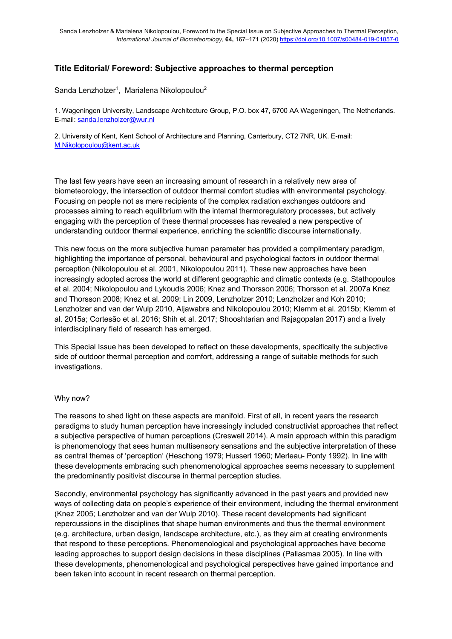#### **Title Editorial/ Foreword: Subjective approaches to thermal perception**

Sanda Lenzholzer<sup>1</sup>, Marialena Nikolopoulou<sup>2</sup>

1. Wageningen University, Landscape Architecture Group, P.O. box 47, 6700 AA Wageningen, The Netherlands. E-mail: sanda.lenzholzer@wur.nl

2. University of Kent, Kent School of Architecture and Planning, Canterbury, CT2 7NR, UK. E-mail: M.Nikolopoulou@kent.ac.uk

The last few years have seen an increasing amount of research in a relatively new area of biometeorology, the intersection of outdoor thermal comfort studies with environmental psychology. Focusing on people not as mere recipients of the complex radiation exchanges outdoors and processes aiming to reach equilibrium with the internal thermoregulatory processes, but actively engaging with the perception of these thermal processes has revealed a new perspective of understanding outdoor thermal experience, enriching the scientific discourse internationally.

This new focus on the more subjective human parameter has provided a complimentary paradigm, highlighting the importance of personal, behavioural and psychological factors in outdoor thermal perception (Nikolopoulou et al. 2001, Nikolopoulou 2011). These new approaches have been increasingly adopted across the world at different geographic and climatic contexts (e.g. Stathopoulos et al. 2004; Nikolopoulou and Lykoudis 2006; Knez and Thorsson 2006; Thorsson et al. 2007a Knez and Thorsson 2008; Knez et al. 2009; Lin 2009, Lenzholzer 2010; Lenzholzer and Koh 2010; Lenzholzer and van der Wulp 2010, Aljawabra and Nikolopoulou 2010; Klemm et al. 2015b; Klemm et al. 2015a; Cortesão et al. 2016; Shih et al. 2017; Shooshtarian and Rajagopalan 2017) and a lively interdisciplinary field of research has emerged.

This Special Issue has been developed to reflect on these developments, specifically the subjective side of outdoor thermal perception and comfort, addressing a range of suitable methods for such investigations.

#### Why now?

The reasons to shed light on these aspects are manifold. First of all, in recent years the research paradigms to study human perception have increasingly included constructivist approaches that reflect a subjective perspective of human perceptions (Creswell 2014). A main approach within this paradigm is phenomenology that sees human multisensory sensations and the subjective interpretation of these as central themes of 'perception' (Heschong 1979; Husserl 1960; Merleau- Ponty 1992). In line with these developments embracing such phenomenological approaches seems necessary to supplement the predominantly positivist discourse in thermal perception studies.

Secondly, environmental psychology has significantly advanced in the past years and provided new ways of collecting data on people's experience of their environment, including the thermal environment (Knez 2005; Lenzholzer and van der Wulp 2010). These recent developments had significant repercussions in the disciplines that shape human environments and thus the thermal environment (e.g. architecture, urban design, landscape architecture, etc.), as they aim at creating environments that respond to these perceptions. Phenomenological and psychological approaches have become leading approaches to support design decisions in these disciplines (Pallasmaa 2005). In line with these developments, phenomenological and psychological perspectives have gained importance and been taken into account in recent research on thermal perception.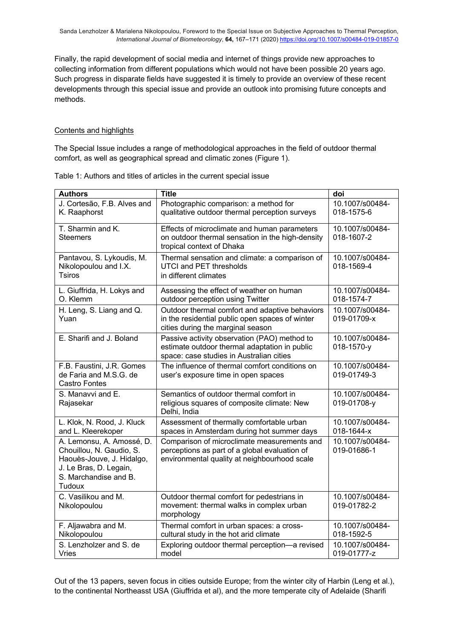Finally, the rapid development of social media and internet of things provide new approaches to collecting information from different populations which would not have been possible 20 years ago. Such progress in disparate fields have suggested it is timely to provide an overview of these recent developments through this special issue and provide an outlook into promising future concepts and methods.

#### Contents and highlights

The Special Issue includes a range of methodological approaches in the field of outdoor thermal comfort, as well as geographical spread and climatic zones (Figure 1).

| <b>Authors</b>                                                                                                                                  | <b>Title</b>                                                                                                                                 | doi                            |
|-------------------------------------------------------------------------------------------------------------------------------------------------|----------------------------------------------------------------------------------------------------------------------------------------------|--------------------------------|
|                                                                                                                                                 |                                                                                                                                              |                                |
| J. Cortesão, F.B. Alves and<br>K. Raaphorst                                                                                                     | Photographic comparison: a method for<br>qualitative outdoor thermal perception surveys                                                      | 10.1007/s00484-<br>018-1575-6  |
| T. Sharmin and K.<br><b>Steemers</b>                                                                                                            | Effects of microclimate and human parameters<br>on outdoor thermal sensation in the high-density<br>tropical context of Dhaka                | 10.1007/s00484-<br>018-1607-2  |
| Pantavou, S. Lykoudis, M.<br>Nikolopoulou and I.X.<br>Tsiros                                                                                    | Thermal sensation and climate: a comparison of<br><b>UTCI and PET thresholds</b><br>in different climates                                    | 10.1007/s00484-<br>018-1569-4  |
| L. Giuffrida, H. Lokys and<br>O. Klemm                                                                                                          | Assessing the effect of weather on human<br>outdoor perception using Twitter                                                                 | 10.1007/s00484-<br>018-1574-7  |
| H. Leng, S. Liang and Q.<br>Yuan                                                                                                                | Outdoor thermal comfort and adaptive behaviors<br>in the residential public open spaces of winter<br>cities during the marginal season       | 10.1007/s00484-<br>019-01709-x |
| E. Sharifi and J. Boland                                                                                                                        | Passive activity observation (PAO) method to<br>estimate outdoor thermal adaptation in public<br>space: case studies in Australian cities    | 10.1007/s00484-<br>018-1570-y  |
| F.B. Faustini, J.R. Gomes<br>de Faria and M.S.G. de<br><b>Castro Fontes</b>                                                                     | The influence of thermal comfort conditions on<br>user's exposure time in open spaces                                                        | 10.1007/s00484-<br>019-01749-3 |
| S. Manavvi and E.<br>Rajasekar                                                                                                                  | Semantics of outdoor thermal comfort in<br>religious squares of composite climate: New<br>Delhi, India                                       | 10.1007/s00484-<br>019-01708-y |
| L. Klok, N. Rood, J. Kluck<br>and L. Kleerekoper                                                                                                | Assessment of thermally comfortable urban<br>spaces in Amsterdam during hot summer days                                                      | 10.1007/s00484-<br>018-1644-x  |
| A. Lemonsu, A. Amossé, D.<br>Chouillou, N. Gaudio, S.<br>Haouès-Jouve, J. Hidalgo,<br>J. Le Bras, D. Legain,<br>S. Marchandise and B.<br>Tudoux | Comparison of microclimate measurements and<br>perceptions as part of a global evaluation of<br>environmental quality at neighbourhood scale | 10.1007/s00484-<br>019-01686-1 |
| C. Vasilikou and M.<br>Nikolopoulou                                                                                                             | Outdoor thermal comfort for pedestrians in<br>movement: thermal walks in complex urban<br>morphology                                         | 10.1007/s00484-<br>019-01782-2 |
| F. Aljawabra and M.<br>Nikolopoulou                                                                                                             | Thermal comfort in urban spaces: a cross-<br>cultural study in the hot arid climate                                                          | 10.1007/s00484-<br>018-1592-5  |
| S. Lenzholzer and S. de<br><b>Vries</b>                                                                                                         | Exploring outdoor thermal perception-a revised<br>model                                                                                      | 10.1007/s00484-<br>019-01777-z |

Table 1: Authors and titles of articles in the current special issue

Out of the 13 papers, seven focus in cities outside Europe; from the winter city of Harbin (Leng et al.), to the continental Northeasst USA (Giuffrida et al), and the more temperate city of Adelaide (Sharifi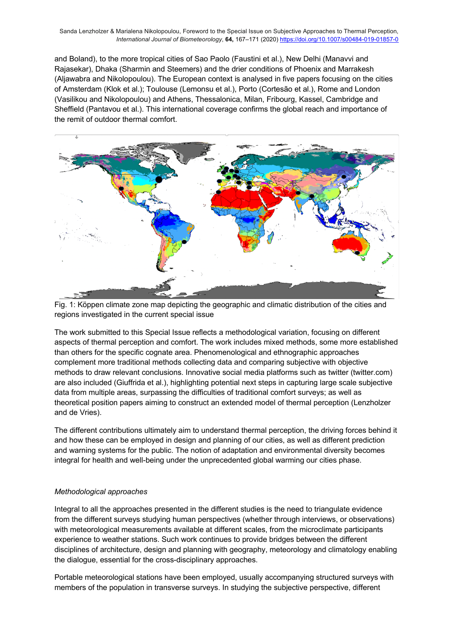and Boland), to the more tropical cities of Sao Paolo (Faustini et al.), New Delhi (Manavvi and Rajasekar), Dhaka (Sharmin and Steemers) and the drier conditions of Phoenix and Marrakesh (Aljawabra and Nikolopoulou). The European context is analysed in five papers focusing on the cities of Amsterdam (Klok et al.); Toulouse (Lemonsu et al.), Porto (Cortesão et al.), Rome and London (Vasilikou and Nikolopoulou) and Athens, Thessalonica, Milan, Fribourg, Kassel, Cambridge and Sheffield (Pantavou et al.). This international coverage confirms the global reach and importance of the remit of outdoor thermal comfort.



Fig. 1: Köppen climate zone map depicting the geographic and climatic distribution of the cities and regions investigated in the current special issue

The work submitted to this Special Issue reflects a methodological variation, focusing on different aspects of thermal perception and comfort. The work includes mixed methods, some more established than others for the specific cognate area. Phenomenological and ethnographic approaches complement more traditional methods collecting data and comparing subjective with objective methods to draw relevant conclusions. Innovative social media platforms such as twitter (twitter.com) are also included (Giuffrida et al.), highlighting potential next steps in capturing large scale subjective data from multiple areas, surpassing the difficulties of traditional comfort surveys; as well as theoretical position papers aiming to construct an extended model of thermal perception (Lenzholzer and de Vries).

The different contributions ultimately aim to understand thermal perception, the driving forces behind it and how these can be employed in design and planning of our cities, as well as different prediction and warning systems for the public. The notion of adaptation and environmental diversity becomes integral for health and well-being under the unprecedented global warming our cities phase.

#### *Methodological approaches*

Integral to all the approaches presented in the different studies is the need to triangulate evidence from the different surveys studying human perspectives (whether through interviews, or observations) with meteorological measurements available at different scales, from the microclimate participants experience to weather stations. Such work continues to provide bridges between the different disciplines of architecture, design and planning with geography, meteorology and climatology enabling the dialogue, essential for the cross-disciplinary approaches.

Portable meteorological stations have been employed, usually accompanying structured surveys with members of the population in transverse surveys. In studying the subjective perspective, different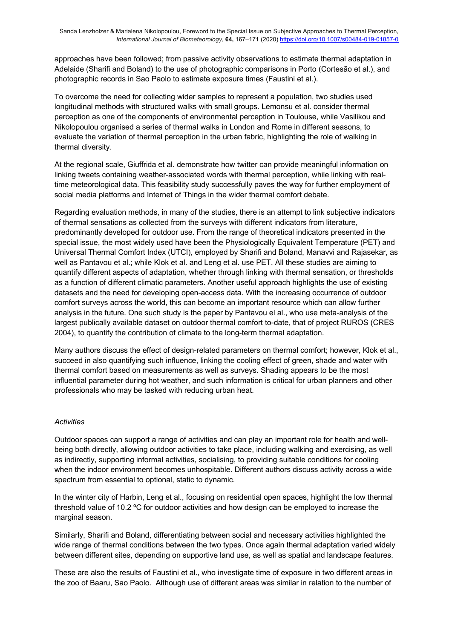approaches have been followed; from passive activity observations to estimate thermal adaptation in Adelaide (Sharifi and Boland) to the use of photographic comparisons in Porto (Cortesão et al.), and photographic records in Sao Paolo to estimate exposure times (Faustini et al.).

To overcome the need for collecting wider samples to represent a population, two studies used longitudinal methods with structured walks with small groups. Lemonsu et al. consider thermal perception as one of the components of environmental perception in Toulouse, while Vasilikou and Nikolopoulou organised a series of thermal walks in London and Rome in different seasons, to evaluate the variation of thermal perception in the urban fabric, highlighting the role of walking in thermal diversity.

At the regional scale, Giuffrida et al. demonstrate how twitter can provide meaningful information on linking tweets containing weather-associated words with thermal perception, while linking with realtime meteorological data. This feasibility study successfully paves the way for further employment of social media platforms and Internet of Things in the wider thermal comfort debate.

Regarding evaluation methods, in many of the studies, there is an attempt to link subjective indicators of thermal sensations as collected from the surveys with different indicators from literature, predominantly developed for outdoor use. From the range of theoretical indicators presented in the special issue, the most widely used have been the Physiologically Equivalent Temperature (PET) and Universal Thermal Comfort Index (UTCI), employed by Sharifi and Boland, Manavvi and Rajasekar, as well as Pantavou et al.; while Klok et al. and Leng et al. use PET. All these studies are aiming to quantify different aspects of adaptation, whether through linking with thermal sensation, or thresholds as a function of different climatic parameters. Another useful approach highlights the use of existing datasets and the need for developing open-access data. With the increasing occurrence of outdoor comfort surveys across the world, this can become an important resource which can allow further analysis in the future. One such study is the paper by Pantavou el al., who use meta-analysis of the largest publically available dataset on outdoor thermal comfort to-date, that of project RUROS (CRES 2004), to quantify the contribution of climate to the long-term thermal adaptation.

Many authors discuss the effect of design-related parameters on thermal comfort; however, Klok et al., succeed in also quantifying such influence, linking the cooling effect of green, shade and water with thermal comfort based on measurements as well as surveys. Shading appears to be the most influential parameter during hot weather, and such information is critical for urban planners and other professionals who may be tasked with reducing urban heat.

#### *Activities*

Outdoor spaces can support a range of activities and can play an important role for health and wellbeing both directly, allowing outdoor activities to take place, including walking and exercising, as well as indirectly, supporting informal activities, socialising, to providing suitable conditions for cooling when the indoor environment becomes unhospitable. Different authors discuss activity across a wide spectrum from essential to optional, static to dynamic.

In the winter city of Harbin, Leng et al., focusing on residential open spaces, highlight the low thermal threshold value of 10.2 ºC for outdoor activities and how design can be employed to increase the marginal season.

Similarly, Sharifi and Boland, differentiating between social and necessary activities highlighted the wide range of thermal conditions between the two types. Once again thermal adaptation varied widely between different sites, depending on supportive land use, as well as spatial and landscape features.

These are also the results of Faustini et al., who investigate time of exposure in two different areas in the zoo of Baaru, Sao Paolo. Although use of different areas was similar in relation to the number of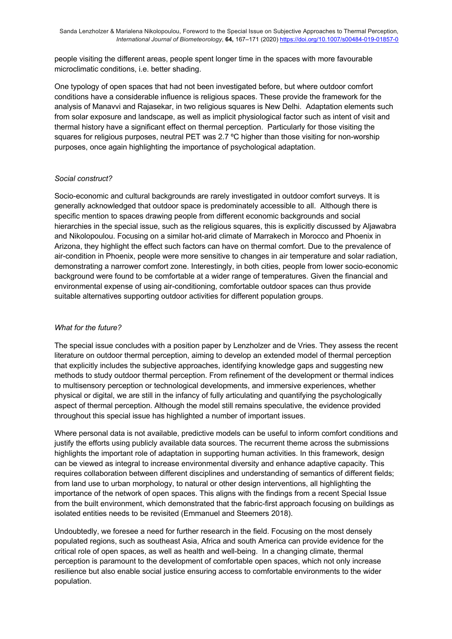people visiting the different areas, people spent longer time in the spaces with more favourable microclimatic conditions, i.e. better shading.

One typology of open spaces that had not been investigated before, but where outdoor comfort conditions have a considerable influence is religious spaces. These provide the framework for the analysis of Manavvi and Rajasekar, in two religious squares is New Delhi. Adaptation elements such from solar exposure and landscape, as well as implicit physiological factor such as intent of visit and thermal history have a significant effect on thermal perception. Particularly for those visiting the squares for religious purposes, neutral PET was 2.7 °C higher than those visiting for non-worship purposes, once again highlighting the importance of psychological adaptation.

#### *Social construct?*

Socio-economic and cultural backgrounds are rarely investigated in outdoor comfort surveys. It is generally acknowledged that outdoor space is predominately accessible to all. Although there is specific mention to spaces drawing people from different economic backgrounds and social hierarchies in the special issue, such as the religious squares, this is explicitly discussed by Aljawabra and Nikolopoulou. Focusing on a similar hot-arid climate of Marrakech in Morocco and Phoenix in Arizona, they highlight the effect such factors can have on thermal comfort. Due to the prevalence of air-condition in Phoenix, people were more sensitive to changes in air temperature and solar radiation, demonstrating a narrower comfort zone. Interestingly, in both cities, people from lower socio-economic background were found to be comfortable at a wider range of temperatures. Given the financial and environmental expense of using air-conditioning, comfortable outdoor spaces can thus provide suitable alternatives supporting outdoor activities for different population groups.

#### *What for the future?*

The special issue concludes with a position paper by Lenzholzer and de Vries. They assess the recent literature on outdoor thermal perception, aiming to develop an extended model of thermal perception that explicitly includes the subjective approaches, identifying knowledge gaps and suggesting new methods to study outdoor thermal perception. From refinement of the development or thermal indices to multisensory perception or technological developments, and immersive experiences, whether physical or digital, we are still in the infancy of fully articulating and quantifying the psychologically aspect of thermal perception. Although the model still remains speculative, the evidence provided throughout this special issue has highlighted a number of important issues.

Where personal data is not available, predictive models can be useful to inform comfort conditions and justify the efforts using publicly available data sources. The recurrent theme across the submissions highlights the important role of adaptation in supporting human activities. In this framework, design can be viewed as integral to increase environmental diversity and enhance adaptive capacity. This requires collaboration between different disciplines and understanding of semantics of different fields; from land use to urban morphology, to natural or other design interventions, all highlighting the importance of the network of open spaces. This aligns with the findings from a recent Special Issue from the built environment, which demonstrated that the fabric-first approach focusing on buildings as isolated entities needs to be revisited (Emmanuel and Steemers 2018).

Undoubtedly, we foresee a need for further research in the field. Focusing on the most densely populated regions, such as southeast Asia, Africa and south America can provide evidence for the critical role of open spaces, as well as health and well-being. In a changing climate, thermal perception is paramount to the development of comfortable open spaces, which not only increase resilience but also enable social justice ensuring access to comfortable environments to the wider population.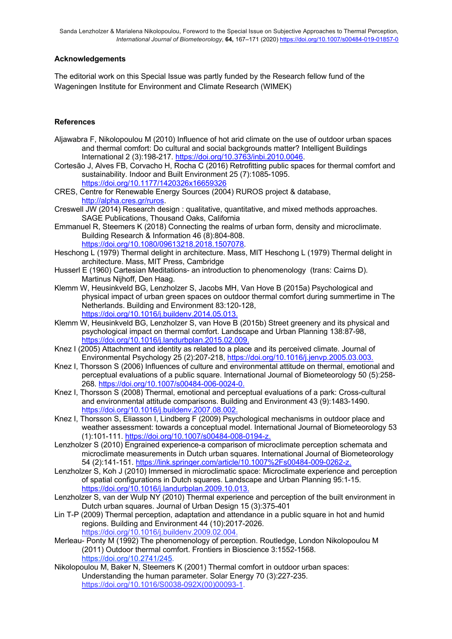#### **Acknowledgements**

The editorial work on this Special Issue was partly funded by the Research fellow fund of the Wageningen Institute for Environment and Climate Research (WIMEK)

#### **References**

- Aljawabra F, Nikolopoulou M (2010) Influence of hot arid climate on the use of outdoor urban spaces and thermal comfort: Do cultural and social backgrounds matter? Intelligent Buildings International 2 (3):198-217. https://doi.org/10.3763/inbi.2010.0046.
- Cortesão J, Alves FB, Corvacho H, Rocha C (2016) Retrofitting public spaces for thermal comfort and sustainability. Indoor and Built Environment 25 (7):1085-1095. https://doi.org/10.1177/1420326x16659326
- CRES, Centre for Renewable Energy Sources (2004) RUROS project & database, http://alpha.cres.gr/ruros.
- Creswell JW (2014) Research design : qualitative, quantitative, and mixed methods approaches. SAGE Publications, Thousand Oaks, California
- Emmanuel R, Steemers K (2018) Connecting the realms of urban form, density and microclimate. Building Research & Information 46 (8):804-808. https://doi.org/10.1080/09613218.2018.1507078.
- Heschong L (1979) Thermal delight in architecture. Mass, MIT Heschong L (1979) Thermal delight in architecture. Mass, MIT Press, Cambridge
- Husserl E (1960) Cartesian Meditations- an introduction to phenomenology (trans: Cairns D). Martinus Nijhoff, Den Haag.
- Klemm W, Heusinkveld BG, Lenzholzer S, Jacobs MH, Van Hove B (2015a) Psychological and physical impact of urban green spaces on outdoor thermal comfort during summertime in The Netherlands. Building and Environment 83:120-128, https://doi.org/10.1016/j.buildenv.2014.05.013.
- Klemm W, Heusinkveld BG, Lenzholzer S, van Hove B (2015b) Street greenery and its physical and psychological impact on thermal comfort. Landscape and Urban Planning 138:87-98, https://doi.org/10.1016/j.landurbplan.2015.02.009.
- Knez I (2005) Attachment and identity as related to a place and its perceived climate. Journal of Environmental Psychology 25 (2):207-218, https://doi.org/10.1016/j.jenvp.2005.03.003.
- Knez I, Thorsson S (2006) Influences of culture and environmental attitude on thermal, emotional and perceptual evaluations of a public square. International Journal of Biometeorology 50 (5):258- 268. https://doi.org/10.1007/s00484-006-0024-0.
- Knez I, Thorsson S (2008) Thermal, emotional and perceptual evaluations of a park: Cross-cultural and environmental attitude comparisons. Building and Environment 43 (9):1483-1490. https://doi.org/10.1016/j.buildenv.2007.08.002.
- Knez I, Thorsson S, Eliasson I, Lindberg F (2009) Psychological mechanisms in outdoor place and weather assessment: towards a conceptual model. International Journal of Biometeorology 53 (1):101-111. https://doi.org/10.1007/s00484-008-0194-z.
- Lenzholzer S (2010) Engrained experience-a comparison of microclimate perception schemata and microclimate measurements in Dutch urban squares. International Journal of Biometeorology 54 (2):141-151. https://link.springer.com/article/10.1007%2Fs00484-009-0262-z.
- Lenzholzer S, Koh J (2010) Immersed in microclimatic space: Microclimate experience and perception of spatial configurations in Dutch squares. Landscape and Urban Planning 95:1-15. https://doi.org/10.1016/j.landurbplan.2009.10.013.
- Lenzholzer S, van der Wulp NY (2010) Thermal experience and perception of the built environment in Dutch urban squares. Journal of Urban Design 15 (3):375-401
- Lin T-P (2009) Thermal perception, adaptation and attendance in a public square in hot and humid regions. Building and Environment 44 (10):2017-2026. https://doi.org/10.1016/j.buildenv.2009.02.004.
- Merleau- Ponty M (1992) The phenomenology of perception. Routledge, London Nikolopoulou M (2011) Outdoor thermal comfort. Frontiers in Bioscience 3:1552-1568. https://doi.org/10.2741/245.
- Nikolopoulou M, Baker N, Steemers K (2001) Thermal comfort in outdoor urban spaces: Understanding the human parameter. Solar Energy 70 (3):227-235. https://doi.org/10.1016/S0038-092X(00)00093-1.